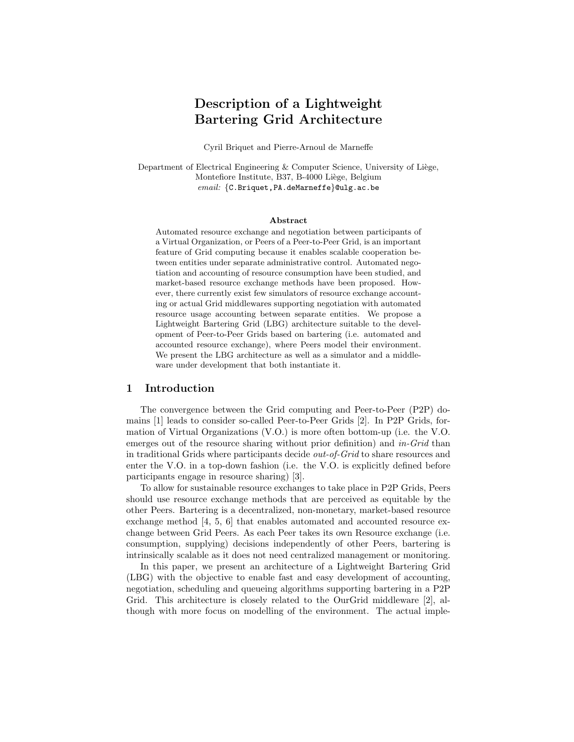# Description of a Lightweight Bartering Grid Architecture

Cyril Briquet and Pierre-Arnoul de Marneffe

Department of Electrical Engineering  $&$  Computer Science, University of Liège, Montefiore Institute, B37, B-4000 Liège, Belgium email: {C.Briquet,PA.deMarneffe}@ulg.ac.be

#### Abstract

Automated resource exchange and negotiation between participants of a Virtual Organization, or Peers of a Peer-to-Peer Grid, is an important feature of Grid computing because it enables scalable cooperation between entities under separate administrative control. Automated negotiation and accounting of resource consumption have been studied, and market-based resource exchange methods have been proposed. However, there currently exist few simulators of resource exchange accounting or actual Grid middlewares supporting negotiation with automated resource usage accounting between separate entities. We propose a Lightweight Bartering Grid (LBG) architecture suitable to the development of Peer-to-Peer Grids based on bartering (i.e. automated and accounted resource exchange), where Peers model their environment. We present the LBG architecture as well as a simulator and a middleware under development that both instantiate it.

# 1 Introduction

The convergence between the Grid computing and Peer-to-Peer (P2P) domains [1] leads to consider so-called Peer-to-Peer Grids [2]. In P2P Grids, formation of Virtual Organizations (V.O.) is more often bottom-up (i.e. the V.O. emerges out of the resource sharing without prior definition) and in-Grid than in traditional Grids where participants decide out-of-Grid to share resources and enter the V.O. in a top-down fashion (i.e. the V.O. is explicitly defined before participants engage in resource sharing) [3].

To allow for sustainable resource exchanges to take place in P2P Grids, Peers should use resource exchange methods that are perceived as equitable by the other Peers. Bartering is a decentralized, non-monetary, market-based resource exchange method [4, 5, 6] that enables automated and accounted resource exchange between Grid Peers. As each Peer takes its own Resource exchange (i.e. consumption, supplying) decisions independently of other Peers, bartering is intrinsically scalable as it does not need centralized management or monitoring.

In this paper, we present an architecture of a Lightweight Bartering Grid (LBG) with the objective to enable fast and easy development of accounting, negotiation, scheduling and queueing algorithms supporting bartering in a P2P Grid. This architecture is closely related to the OurGrid middleware [2], although with more focus on modelling of the environment. The actual imple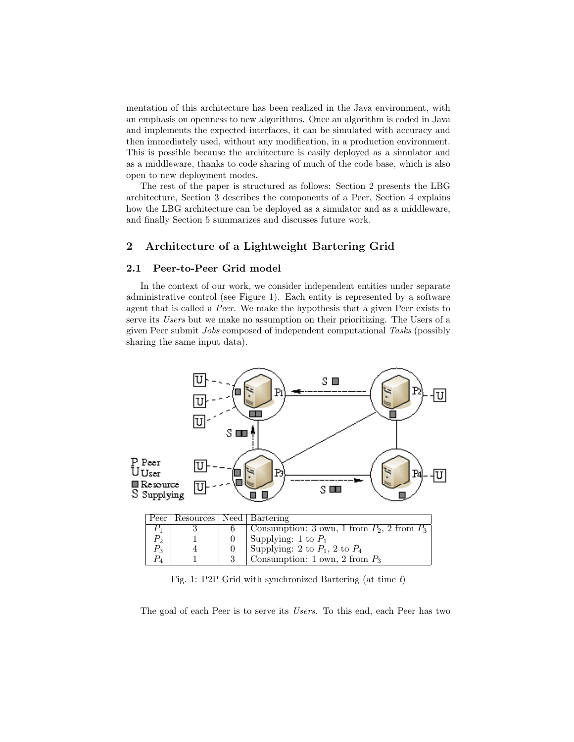mentation of this architecture has been realized in the Java environment, with an emphasis on openness to new algorithms. Once an algorithm is coded in Java and implements the expected interfaces, it can be simulated with accuracy and then immediately used, without any modification, in a production environment. This is possible because the architecture is easily deployed as a simulator and as a middleware, thanks to code sharing of much of the code base, which is also open to new deployment modes.

The rest of the paper is structured as follows: Section 2 presents the LBG architecture, Section 3 describes the components of a Peer, Section 4 explains how the LBG architecture can be deployed as a simulator and as a middleware, and finally Section 5 summarizes and discusses future work.

# 2 Architecture of a Lightweight Bartering Grid

## 2.1 Peer-to-Peer Grid model

In the context of our work, we consider independent entities under separate administrative control (see Figure 1). Each entity is represented by a software agent that is called a Peer. We make the hypothesis that a given Peer exists to serve its Users but we make no assumption on their prioritizing. The Users of a given Peer submit Jobs composed of independent computational Tasks (possibly sharing the same input data).



Fig. 1: P2P Grid with synchronized Bartering (at time t)

The goal of each Peer is to serve its Users. To this end, each Peer has two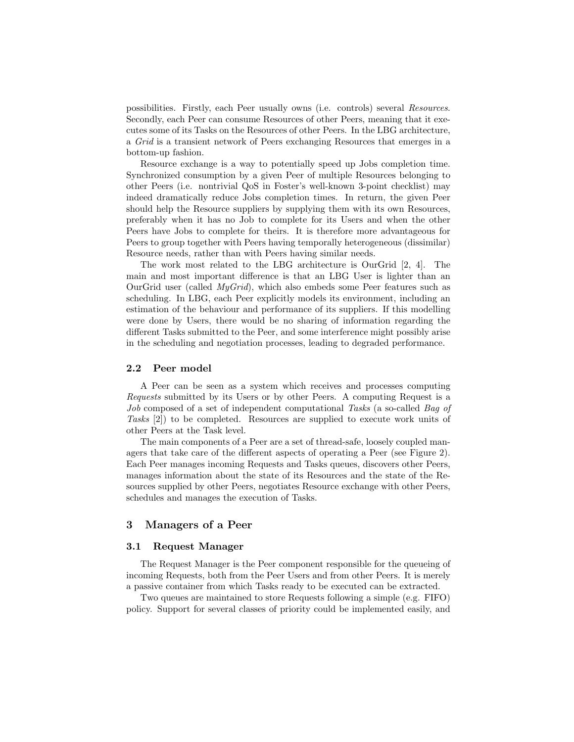possibilities. Firstly, each Peer usually owns (i.e. controls) several Resources. Secondly, each Peer can consume Resources of other Peers, meaning that it executes some of its Tasks on the Resources of other Peers. In the LBG architecture, a Grid is a transient network of Peers exchanging Resources that emerges in a bottom-up fashion.

Resource exchange is a way to potentially speed up Jobs completion time. Synchronized consumption by a given Peer of multiple Resources belonging to other Peers (i.e. nontrivial QoS in Foster's well-known 3-point checklist) may indeed dramatically reduce Jobs completion times. In return, the given Peer should help the Resource suppliers by supplying them with its own Resources, preferably when it has no Job to complete for its Users and when the other Peers have Jobs to complete for theirs. It is therefore more advantageous for Peers to group together with Peers having temporally heterogeneous (dissimilar) Resource needs, rather than with Peers having similar needs.

The work most related to the LBG architecture is OurGrid [2, 4]. The main and most important difference is that an LBG User is lighter than an OurGrid user (called  $MyGrid$ ), which also embeds some Peer features such as scheduling. In LBG, each Peer explicitly models its environment, including an estimation of the behaviour and performance of its suppliers. If this modelling were done by Users, there would be no sharing of information regarding the different Tasks submitted to the Peer, and some interference might possibly arise in the scheduling and negotiation processes, leading to degraded performance.

### 2.2 Peer model

A Peer can be seen as a system which receives and processes computing Requests submitted by its Users or by other Peers. A computing Request is a Job composed of a set of independent computational Tasks (a so-called Bag of Tasks [2]) to be completed. Resources are supplied to execute work units of other Peers at the Task level.

The main components of a Peer are a set of thread-safe, loosely coupled managers that take care of the different aspects of operating a Peer (see Figure 2). Each Peer manages incoming Requests and Tasks queues, discovers other Peers, manages information about the state of its Resources and the state of the Resources supplied by other Peers, negotiates Resource exchange with other Peers, schedules and manages the execution of Tasks.

# 3 Managers of a Peer

# 3.1 Request Manager

The Request Manager is the Peer component responsible for the queueing of incoming Requests, both from the Peer Users and from other Peers. It is merely a passive container from which Tasks ready to be executed can be extracted.

Two queues are maintained to store Requests following a simple (e.g. FIFO) policy. Support for several classes of priority could be implemented easily, and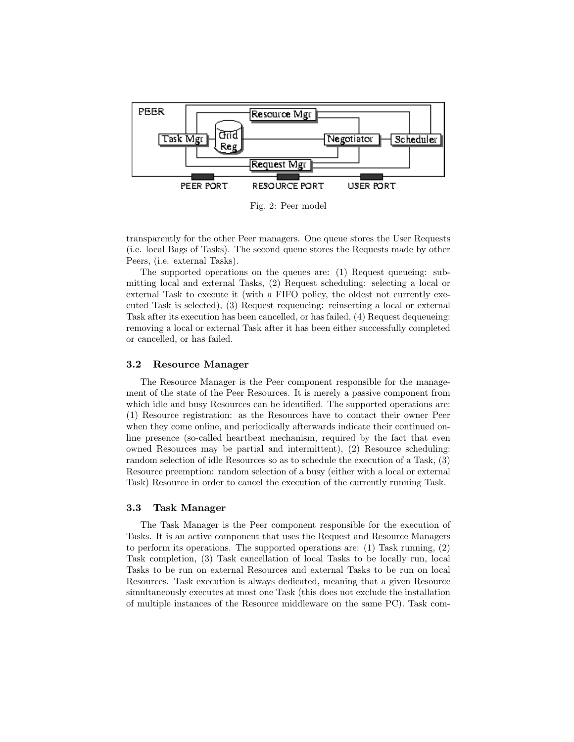

Fig. 2: Peer model

transparently for the other Peer managers. One queue stores the User Requests (i.e. local Bags of Tasks). The second queue stores the Requests made by other Peers, (i.e. external Tasks).

The supported operations on the queues are: (1) Request queueing: submitting local and external Tasks, (2) Request scheduling: selecting a local or external Task to execute it (with a FIFO policy, the oldest not currently executed Task is selected), (3) Request requeueing: reinserting a local or external Task after its execution has been cancelled, or has failed, (4) Request dequeueing: removing a local or external Task after it has been either successfully completed or cancelled, or has failed.

### 3.2 Resource Manager

The Resource Manager is the Peer component responsible for the management of the state of the Peer Resources. It is merely a passive component from which idle and busy Resources can be identified. The supported operations are: (1) Resource registration: as the Resources have to contact their owner Peer when they come online, and periodically afterwards indicate their continued online presence (so-called heartbeat mechanism, required by the fact that even owned Resources may be partial and intermittent), (2) Resource scheduling: random selection of idle Resources so as to schedule the execution of a Task, (3) Resource preemption: random selection of a busy (either with a local or external Task) Resource in order to cancel the execution of the currently running Task.

## 3.3 Task Manager

The Task Manager is the Peer component responsible for the execution of Tasks. It is an active component that uses the Request and Resource Managers to perform its operations. The supported operations are: (1) Task running, (2) Task completion, (3) Task cancellation of local Tasks to be locally run, local Tasks to be run on external Resources and external Tasks to be run on local Resources. Task execution is always dedicated, meaning that a given Resource simultaneously executes at most one Task (this does not exclude the installation of multiple instances of the Resource middleware on the same PC). Task com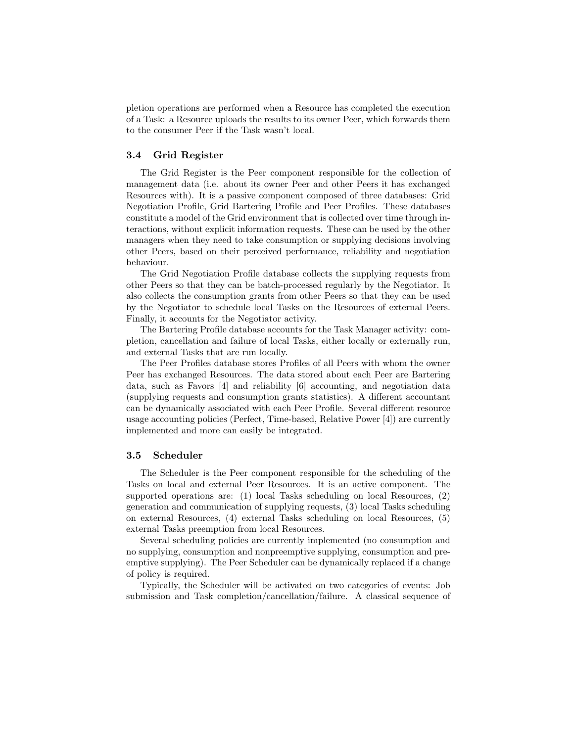pletion operations are performed when a Resource has completed the execution of a Task: a Resource uploads the results to its owner Peer, which forwards them to the consumer Peer if the Task wasn't local.

## 3.4 Grid Register

The Grid Register is the Peer component responsible for the collection of management data (i.e. about its owner Peer and other Peers it has exchanged Resources with). It is a passive component composed of three databases: Grid Negotiation Profile, Grid Bartering Profile and Peer Profiles. These databases constitute a model of the Grid environment that is collected over time through interactions, without explicit information requests. These can be used by the other managers when they need to take consumption or supplying decisions involving other Peers, based on their perceived performance, reliability and negotiation behaviour.

The Grid Negotiation Profile database collects the supplying requests from other Peers so that they can be batch-processed regularly by the Negotiator. It also collects the consumption grants from other Peers so that they can be used by the Negotiator to schedule local Tasks on the Resources of external Peers. Finally, it accounts for the Negotiator activity.

The Bartering Profile database accounts for the Task Manager activity: completion, cancellation and failure of local Tasks, either locally or externally run, and external Tasks that are run locally.

The Peer Profiles database stores Profiles of all Peers with whom the owner Peer has exchanged Resources. The data stored about each Peer are Bartering data, such as Favors [4] and reliability [6] accounting, and negotiation data (supplying requests and consumption grants statistics). A different accountant can be dynamically associated with each Peer Profile. Several different resource usage accounting policies (Perfect, Time-based, Relative Power [4]) are currently implemented and more can easily be integrated.

#### 3.5 Scheduler

The Scheduler is the Peer component responsible for the scheduling of the Tasks on local and external Peer Resources. It is an active component. The supported operations are: (1) local Tasks scheduling on local Resources, (2) generation and communication of supplying requests, (3) local Tasks scheduling on external Resources, (4) external Tasks scheduling on local Resources, (5) external Tasks preemption from local Resources.

Several scheduling policies are currently implemented (no consumption and no supplying, consumption and nonpreemptive supplying, consumption and preemptive supplying). The Peer Scheduler can be dynamically replaced if a change of policy is required.

Typically, the Scheduler will be activated on two categories of events: Job submission and Task completion/cancellation/failure. A classical sequence of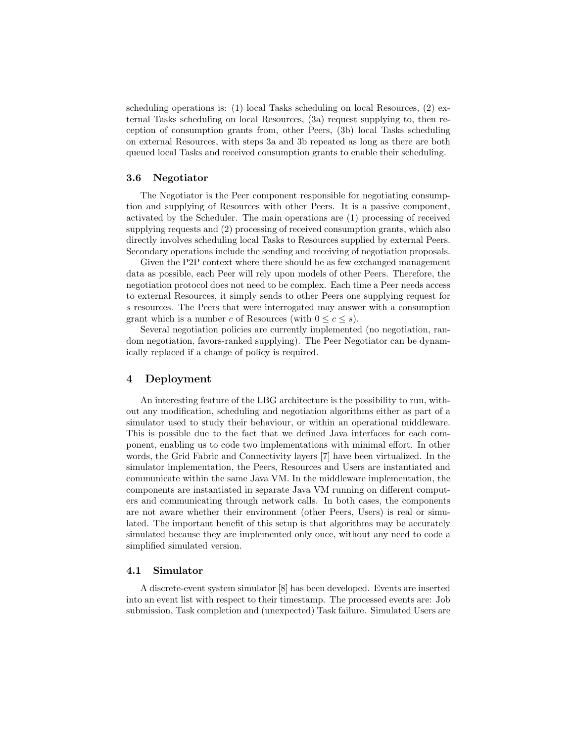scheduling operations is: (1) local Tasks scheduling on local Resources, (2) external Tasks scheduling on local Resources, (3a) request supplying to, then reception of consumption grants from, other Peers, (3b) local Tasks scheduling on external Resources, with steps 3a and 3b repeated as long as there are both queued local Tasks and received consumption grants to enable their scheduling.

## 3.6 Negotiator

The Negotiator is the Peer component responsible for negotiating consumption and supplying of Resources with other Peers. It is a passive component, activated by the Scheduler. The main operations are (1) processing of received supplying requests and (2) processing of received consumption grants, which also directly involves scheduling local Tasks to Resources supplied by external Peers. Secondary operations include the sending and receiving of negotiation proposals.

Given the P2P context where there should be as few exchanged management data as possible, each Peer will rely upon models of other Peers. Therefore, the negotiation protocol does not need to be complex. Each time a Peer needs access to external Resources, it simply sends to other Peers one supplying request for s resources. The Peers that were interrogated may answer with a consumption grant which is a number c of Resources (with  $0 \leq c \leq s$ ).

Several negotiation policies are currently implemented (no negotiation, random negotiation, favors-ranked supplying). The Peer Negotiator can be dynamically replaced if a change of policy is required.

### 4 Deployment

An interesting feature of the LBG architecture is the possibility to run, without any modification, scheduling and negotiation algorithms either as part of a simulator used to study their behaviour, or within an operational middleware. This is possible due to the fact that we defined Java interfaces for each component, enabling us to code two implementations with minimal effort. In other words, the Grid Fabric and Connectivity layers [7] have been virtualized. In the simulator implementation, the Peers, Resources and Users are instantiated and communicate within the same Java VM. In the middleware implementation, the components are instantiated in separate Java VM running on different computers and communicating through network calls. In both cases, the components are not aware whether their environment (other Peers, Users) is real or simulated. The important benefit of this setup is that algorithms may be accurately simulated because they are implemented only once, without any need to code a simplified simulated version.

#### 4.1 Simulator

A discrete-event system simulator [8] has been developed. Events are inserted into an event list with respect to their timestamp. The processed events are: Job submission, Task completion and (unexpected) Task failure. Simulated Users are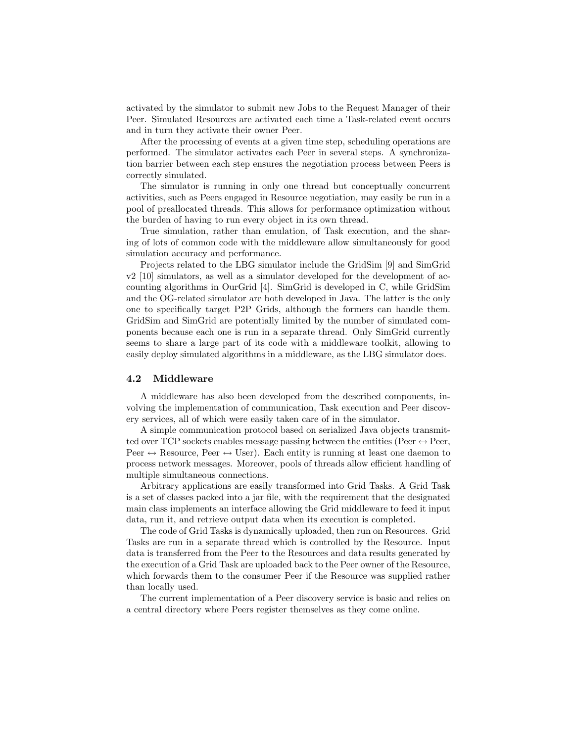activated by the simulator to submit new Jobs to the Request Manager of their Peer. Simulated Resources are activated each time a Task-related event occurs and in turn they activate their owner Peer.

After the processing of events at a given time step, scheduling operations are performed. The simulator activates each Peer in several steps. A synchronization barrier between each step ensures the negotiation process between Peers is correctly simulated.

The simulator is running in only one thread but conceptually concurrent activities, such as Peers engaged in Resource negotiation, may easily be run in a pool of preallocated threads. This allows for performance optimization without the burden of having to run every object in its own thread.

True simulation, rather than emulation, of Task execution, and the sharing of lots of common code with the middleware allow simultaneously for good simulation accuracy and performance.

Projects related to the LBG simulator include the GridSim [9] and SimGrid v2 [10] simulators, as well as a simulator developed for the development of accounting algorithms in OurGrid [4]. SimGrid is developed in C, while GridSim and the OG-related simulator are both developed in Java. The latter is the only one to specifically target P2P Grids, although the formers can handle them. GridSim and SimGrid are potentially limited by the number of simulated components because each one is run in a separate thread. Only SimGrid currently seems to share a large part of its code with a middleware toolkit, allowing to easily deploy simulated algorithms in a middleware, as the LBG simulator does.

### 4.2 Middleware

A middleware has also been developed from the described components, involving the implementation of communication, Task execution and Peer discovery services, all of which were easily taken care of in the simulator.

A simple communication protocol based on serialized Java objects transmitted over TCP sockets enables message passing between the entities (Peer  $\leftrightarrow$  Peer, Peer  $\leftrightarrow$  Resource, Peer  $\leftrightarrow$  User). Each entity is running at least one daemon to process network messages. Moreover, pools of threads allow efficient handling of multiple simultaneous connections.

Arbitrary applications are easily transformed into Grid Tasks. A Grid Task is a set of classes packed into a jar file, with the requirement that the designated main class implements an interface allowing the Grid middleware to feed it input data, run it, and retrieve output data when its execution is completed.

The code of Grid Tasks is dynamically uploaded, then run on Resources. Grid Tasks are run in a separate thread which is controlled by the Resource. Input data is transferred from the Peer to the Resources and data results generated by the execution of a Grid Task are uploaded back to the Peer owner of the Resource, which forwards them to the consumer Peer if the Resource was supplied rather than locally used.

The current implementation of a Peer discovery service is basic and relies on a central directory where Peers register themselves as they come online.